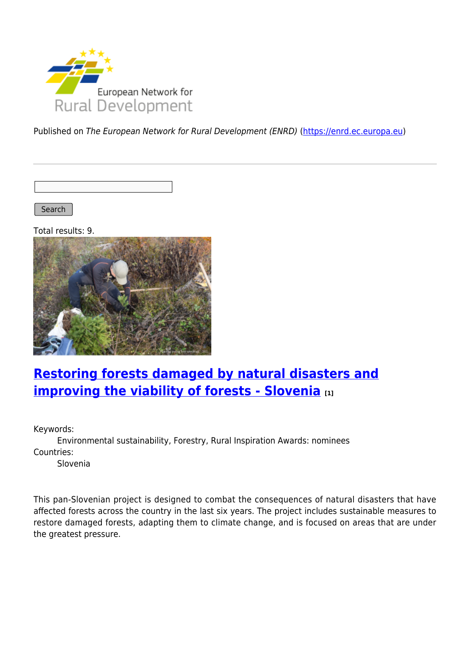

Published on The European Network for Rural Development (ENRD) [\(https://enrd.ec.europa.eu](https://enrd.ec.europa.eu))

Search

Total results: 9.



# **[Restoring forests damaged by natural disasters and](https://enrd.ec.europa.eu/projects-practice/restoring-forests-damaged-natural-disasters-and-improving-viability-forests_en) [improving the viability of forests - Slovenia](https://enrd.ec.europa.eu/projects-practice/restoring-forests-damaged-natural-disasters-and-improving-viability-forests_en)** [1]

Keywords:

Environmental sustainability, Forestry, Rural Inspiration Awards: nominees Countries:

Slovenia

This pan-Slovenian project is designed to combat the consequences of natural disasters that have affected forests across the country in the last six years. The project includes sustainable measures to restore damaged forests, adapting them to climate change, and is focused on areas that are under the greatest pressure.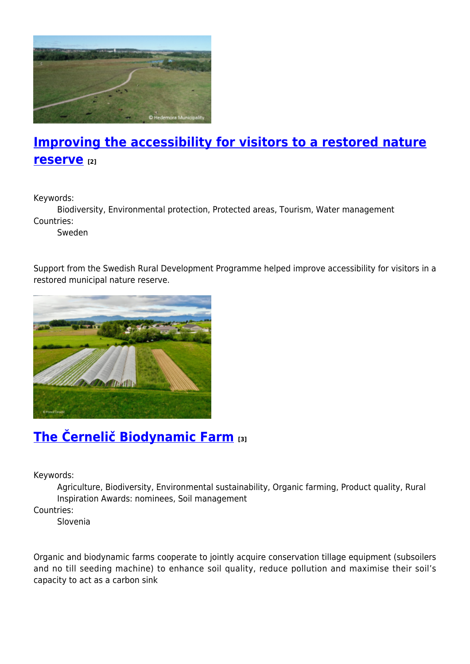

## **[Improving the accessibility for visitors to a restored nature](https://enrd.ec.europa.eu/projects-practice/improving-accessibility-visitors-restored-nature-reserve_en) [reserve](https://enrd.ec.europa.eu/projects-practice/improving-accessibility-visitors-restored-nature-reserve_en) [2]**

Keywords:

Biodiversity, Environmental protection, Protected areas, Tourism, Water management Countries:

Sweden

Support from the Swedish Rural Development Programme helped improve accessibility for visitors in a restored municipal nature reserve.



## **[The Černelič Biodynamic Farm](https://enrd.ec.europa.eu/projects-practice/cernelic-biodynamic-farm-0_en) [3]**

Keywords:

Agriculture, Biodiversity, Environmental sustainability, Organic farming, Product quality, Rural Inspiration Awards: nominees, Soil management

Countries:

Slovenia

Organic and biodynamic farms cooperate to jointly acquire conservation tillage equipment (subsoilers and no till seeding machine) to enhance soil quality, reduce pollution and maximise their soil's capacity to act as a carbon sink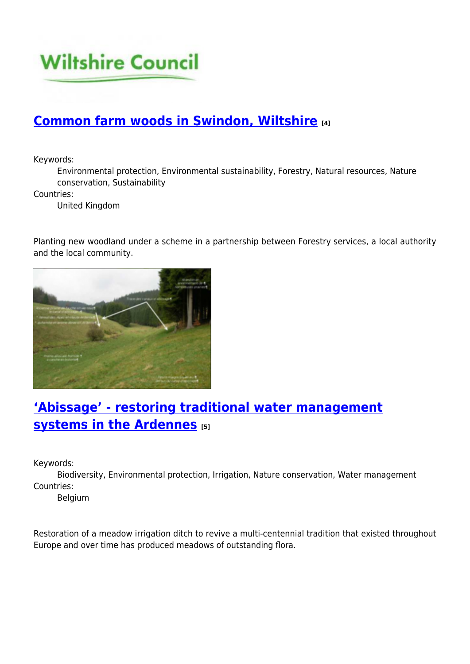

## **[Common farm woods in Swindon, Wiltshire](https://enrd.ec.europa.eu/projects-practice/common-farm-woods-swindon-wiltshire_en) [4]**

Keywords:

Environmental protection, Environmental sustainability, Forestry, Natural resources, Nature conservation, Sustainability

Countries:

United Kingdom

Planting new woodland under a scheme in a partnership between Forestry services, a local authority and the local community.



# **['Abissage' - restoring traditional water management](https://enrd.ec.europa.eu/projects-practice/abissage-restoring-traditional-water-management-systems-ardennes_en) [systems in the Ardennes](https://enrd.ec.europa.eu/projects-practice/abissage-restoring-traditional-water-management-systems-ardennes_en) [5]**

Keywords:

Biodiversity, Environmental protection, Irrigation, Nature conservation, Water management Countries:

Belgium

Restoration of a meadow irrigation ditch to revive a multi-centennial tradition that existed throughout Europe and over time has produced meadows of outstanding flora.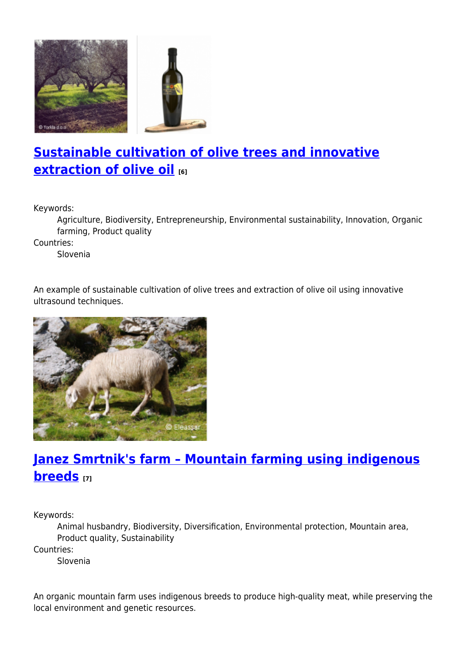

# **[Sustainable cultivation of olive trees and innovative](https://enrd.ec.europa.eu/projects-practice/sustainable-cultivation-olive-trees-and-innovative-extraction-olive-oil_en) [extraction of olive oil](https://enrd.ec.europa.eu/projects-practice/sustainable-cultivation-olive-trees-and-innovative-extraction-olive-oil_en) [6]**

Keywords:

Agriculture, Biodiversity, Entrepreneurship, Environmental sustainability, Innovation, Organic farming, Product quality

Countries:

Slovenia

An example of sustainable cultivation of olive trees and extraction of olive oil using innovative ultrasound techniques.



## **[Janez Smrtnik's farm – Mountain farming using indigenous](https://enrd.ec.europa.eu/projects-practice/janez-smrtniks-farm-mountain-farming-using-indigenous-breeds_en) [breeds](https://enrd.ec.europa.eu/projects-practice/janez-smrtniks-farm-mountain-farming-using-indigenous-breeds_en) [7]**

Keywords:

Animal husbandry, Biodiversity, Diversification, Environmental protection, Mountain area, Product quality, Sustainability

Countries:

Slovenia

An organic mountain farm uses indigenous breeds to produce high-quality meat, while preserving the local environment and genetic resources.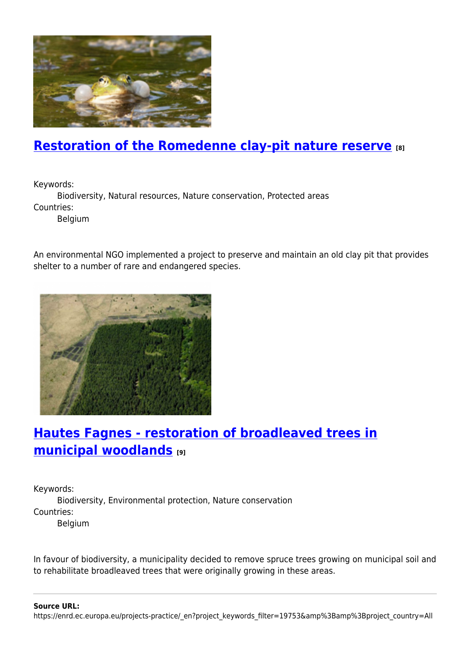

## **[Restoration of the Romedenne clay-pit nature reserve](https://enrd.ec.europa.eu/projects-practice/restoration-romedenne-clay-pit-nature-reserve_en) [8]**

Keywords:

Biodiversity, Natural resources, Nature conservation, Protected areas Countries:

Belgium

An environmental NGO implemented a project to preserve and maintain an old clay pit that provides shelter to a number of rare and endangered species.



## **[Hautes Fagnes - restoration of broadleaved trees in](https://enrd.ec.europa.eu/projects-practice/hautes-fagnes-restoration-broadleaved-trees-municipal-woodlands_en) [municipal woodlands](https://enrd.ec.europa.eu/projects-practice/hautes-fagnes-restoration-broadleaved-trees-municipal-woodlands_en) [9]**

Keywords: Biodiversity, Environmental protection, Nature conservation Countries: Belgium

In favour of biodiversity, a municipality decided to remove spruce trees growing on municipal soil and to rehabilitate broadleaved trees that were originally growing in these areas.